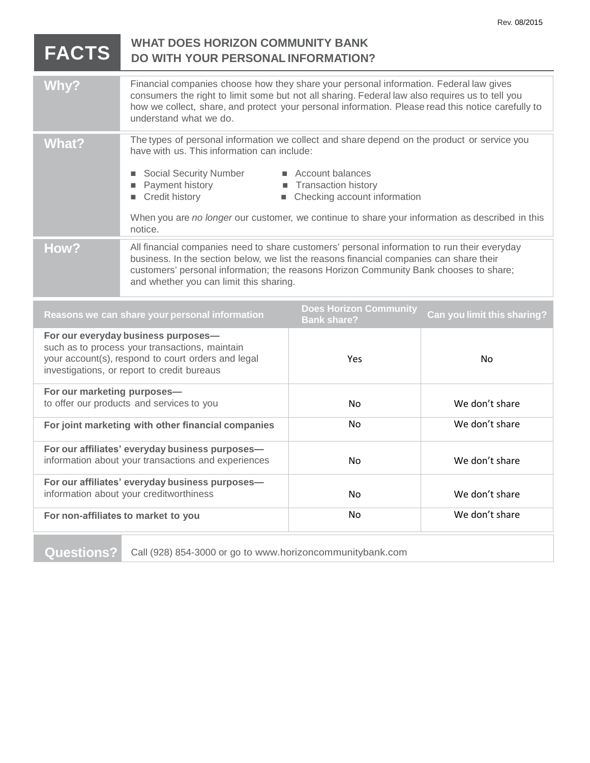## **FACTS WHAT DOES HORIZON COMMUNITY BANK DO WITH YOUR PERSONAL INFORMATION?** Why? Financial companies choose how they share your personal information. Federal law gives consumers the right to limit some but not all sharing. Federal law also requires us to tell you how we collect, share, and protect your personal information. Please read this notice carefully to understand what we do. What? The types of personal information we collect and share depend on the product or service you have with us. This information can include: Social Security Number **Exercise EXECOUNT** Account balances **Payment history Transaction history** ■ Credit history ■ Checking account information When you are *no longer* our customer, we continue to share your information as described in this notice. How? All financial companies need to share customers' personal information to run their everyday business. In the section below, we list the reasons financial companies can share their customers' personal information; the reasons Horizon Community Bank chooses to share; and whether you can limit this sharing. **Reasons we can share your personal information Does Horizon Community Bank share? Can you limit this sharing? For our everyday business purposes** such as to process your transactions, maintain your account(s), respond to court orders and legal

| your account(s), respond to court orders and legal<br>investigations, or report to credit bureaus      | Yes | No.            |
|--------------------------------------------------------------------------------------------------------|-----|----------------|
| For our marketing purposes-<br>to offer our products and services to you                               | No. | We don't share |
| For joint marketing with other financial companies                                                     | No. | We don't share |
| For our affiliates' everyday business purposes-<br>information about your transactions and experiences | No. | We don't share |
| For our affiliates' everyday business purposes-<br>information about your creditworthiness             | No. | We don't share |
| For non-affiliates to market to you                                                                    | No. | We don't share |
|                                                                                                        |     |                |

**Questions?** Call (928) 854-3000 or go to www.horizoncommunitybank.com